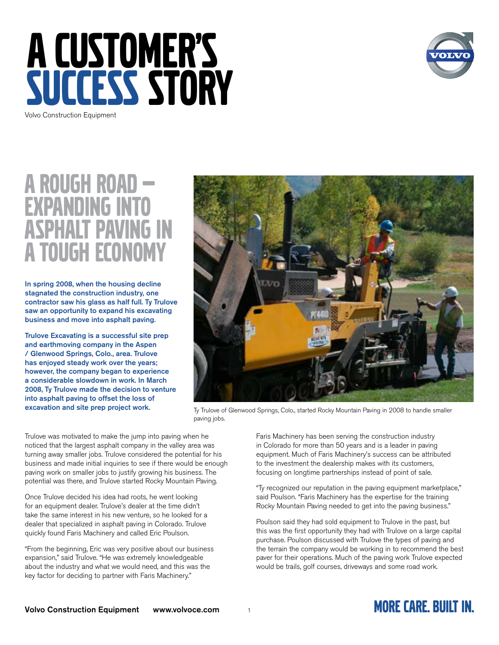



### A ROUGH ROAD **EXPANDING I ASPHALT PAVING A TOUGH ECONOM**

**In spring 2008, when the housing decline stagnated the construction industry, one contractor saw his glass as half full. Ty Trulove saw an opportunity to expand his excavating business and move into asphalt paving.**

**Trulove Excavating is a successful site prep and earthmoving company in the Aspen / Glenwood Springs, Colo., area. Trulove has enjoyed steady work over the years; however, the company began to experience a considerable slowdown in work. In March 2008, Ty Trulove made the decision to venture into asphalt paving to offset the loss of excavation and site prep project work.** 



Ty Trulove of Glenwood Springs, Colo., started Rocky Mountain Paving in 2008 to handle smaller paving jobs.

Trulove was motivated to make the jump into paving when he noticed that the largest asphalt company in the valley area was turning away smaller jobs. Trulove considered the potential for his business and made initial inquiries to see if there would be enough paving work on smaller jobs to justify growing his business. The potential was there, and Trulove started Rocky Mountain Paving.

Once Trulove decided his idea had roots, he went looking for an equipment dealer. Trulove's dealer at the time didn't take the same interest in his new venture, so he looked for a dealer that specialized in asphalt paving in Colorado. Trulove quickly found Faris Machinery and called Eric Poulson.

"From the beginning, Eric was very positive about our business expansion," said Trulove. "He was extremely knowledgeable about the industry and what we would need, and this was the key factor for deciding to partner with Faris Machinery."

Faris Machinery has been serving the construction industry in Colorado for more than 50 years and is a leader in paving equipment. Much of Faris Machinery's success can be attributed to the investment the dealership makes with its customers, focusing on longtime partnerships instead of point of sale.

"Ty recognized our reputation in the paving equipment marketplace," said Poulson. "Faris Machinery has the expertise for the training Rocky Mountain Paving needed to get into the paving business."

Poulson said they had sold equipment to Trulove in the past, but this was the first opportunity they had with Trulove on a large capital purchase. Poulson discussed with Trulove the types of paving and the terrain the company would be working in to recommend the best paver for their operations. Much of the paving work Trulove expected would be trails, golf courses, driveways and some road work.

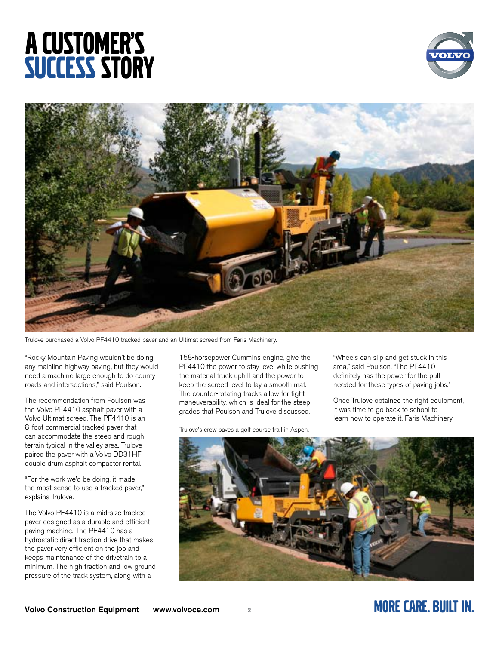# A CUSTOMER'S **SUCCESS STORY**





Trulove purchased a Volvo PF4410 tracked paver and an Ultimat screed from Faris Machinery.

"Rocky Mountain Paving wouldn't be doing any mainline highway paving, but they would need a machine large enough to do county roads and intersections," said Poulson.

The recommendation from Poulson was the Volvo PF4410 asphalt paver with a Volvo Ultimat screed. The PF4410 is an 8-foot commercial tracked paver that can accommodate the steep and rough terrain typical in the valley area. Trulove paired the paver with a Volvo DD31HF double drum asphalt compactor rental.

"For the work we'd be doing, it made the most sense to use a tracked paver," explains Trulove.

The Volvo PF4410 is a mid-size tracked paver designed as a durable and efficient paving machine. The PF4410 has a hydrostatic direct traction drive that makes the paver very efficient on the job and keeps maintenance of the drivetrain to a minimum. The high traction and low ground pressure of the track system, along with a

158-horsepower Cummins engine, give the PF4410 the power to stay level while pushing the material truck uphill and the power to keep the screed level to lay a smooth mat. The counter-rotating tracks allow for tight maneuverability, which is ideal for the steep grades that Poulson and Trulove discussed.

Trulove's crew paves a golf course trail in Aspen.

"Wheels can slip and get stuck in this area," said Poulson. "The PF4410 definitely has the power for the pull needed for these types of paving jobs."

Once Trulove obtained the right equipment, it was time to go back to school to learn how to operate it. Faris Machinery